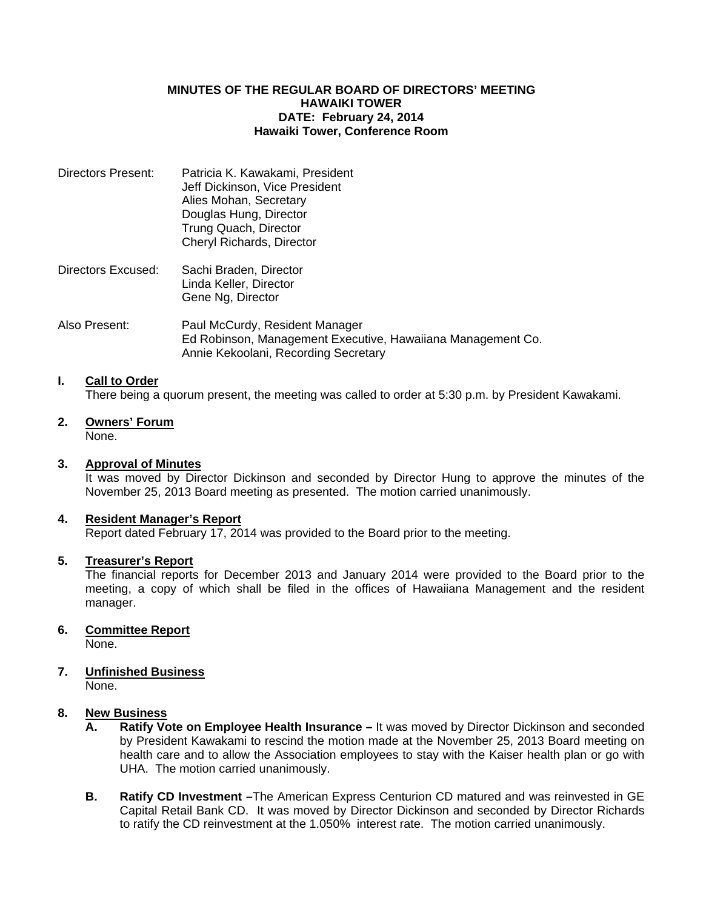### **MINUTES OF THE REGULAR BOARD OF DIRECTORS' MEETING HAWAIKI TOWER DATE: February 24, 2014 Hawaiki Tower, Conference Room**

| <b>Directors Present:</b> | Patricia K. Kawakami, President<br>Jeff Dickinson, Vice President<br>Alies Mohan, Secretary<br>Douglas Hung, Director<br>Trung Quach, Director<br>Cheryl Richards, Director |
|---------------------------|-----------------------------------------------------------------------------------------------------------------------------------------------------------------------------|
| Directors Excused:        | Sachi Braden, Director<br>Linda Keller, Director                                                                                                                            |

Gene Ng, Director

Also Present: Paul McCurdy, Resident Manager Ed Robinson, Management Executive, Hawaiiana Management Co. Annie Kekoolani, Recording Secretary

## **I. Call to Order**

There being a quorum present, the meeting was called to order at 5:30 p.m. by President Kawakami.

**2. Owners' Forum** None.

#### **3. Approval of Minutes**

 It was moved by Director Dickinson and seconded by Director Hung to approve the minutes of the November 25, 2013 Board meeting as presented. The motion carried unanimously.

#### **4. Resident Manager's Report**

Report dated February 17, 2014 was provided to the Board prior to the meeting.

#### **5. Treasurer's Report**

 The financial reports for December 2013 and January 2014 were provided to the Board prior to the meeting, a copy of which shall be filed in the offices of Hawaiiana Management and the resident manager.

#### **6. Committee Report**

None.

# **7. Unfinished Business**

None.

# **8. New Business**

- **A. Ratify Vote on Employee Health Insurance** It was moved by Director Dickinson and seconded by President Kawakami to rescind the motion made at the November 25, 2013 Board meeting on health care and to allow the Association employees to stay with the Kaiser health plan or go with UHA. The motion carried unanimously.
- **B. Ratify CD Investment –**The American Express Centurion CD matured and was reinvested in GE Capital Retail Bank CD. It was moved by Director Dickinson and seconded by Director Richards to ratify the CD reinvestment at the 1.050% interest rate. The motion carried unanimously.